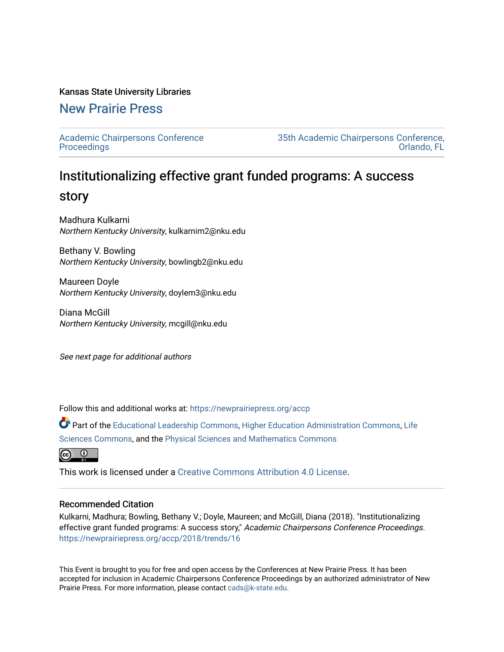#### Kansas State University Libraries

### [New Prairie Press](https://newprairiepress.org/)

[Academic Chairpersons Conference](https://newprairiepress.org/accp)  **Proceedings** 

[35th Academic Chairpersons Conference,](https://newprairiepress.org/accp/2018)  [Orlando, FL](https://newprairiepress.org/accp/2018) 

# Institutionalizing effective grant funded programs: A success story

Madhura Kulkarni Northern Kentucky University, kulkarnim2@nku.edu

Bethany V. Bowling Northern Kentucky University, bowlingb2@nku.edu

Maureen Doyle Northern Kentucky University, doylem3@nku.edu

Diana McGill Northern Kentucky University, mcgill@nku.edu

See next page for additional authors

Follow this and additional works at: [https://newprairiepress.org/accp](https://newprairiepress.org/accp?utm_source=newprairiepress.org%2Faccp%2F2018%2Ftrends%2F16&utm_medium=PDF&utm_campaign=PDFCoverPages) 

Part of the [Educational Leadership Commons,](http://network.bepress.com/hgg/discipline/1230?utm_source=newprairiepress.org%2Faccp%2F2018%2Ftrends%2F16&utm_medium=PDF&utm_campaign=PDFCoverPages) [Higher Education Administration Commons,](http://network.bepress.com/hgg/discipline/791?utm_source=newprairiepress.org%2Faccp%2F2018%2Ftrends%2F16&utm_medium=PDF&utm_campaign=PDFCoverPages) [Life](http://network.bepress.com/hgg/discipline/1016?utm_source=newprairiepress.org%2Faccp%2F2018%2Ftrends%2F16&utm_medium=PDF&utm_campaign=PDFCoverPages) [Sciences Commons,](http://network.bepress.com/hgg/discipline/1016?utm_source=newprairiepress.org%2Faccp%2F2018%2Ftrends%2F16&utm_medium=PDF&utm_campaign=PDFCoverPages) and the [Physical Sciences and Mathematics Commons](http://network.bepress.com/hgg/discipline/114?utm_source=newprairiepress.org%2Faccp%2F2018%2Ftrends%2F16&utm_medium=PDF&utm_campaign=PDFCoverPages)



This work is licensed under a [Creative Commons Attribution 4.0 License](https://creativecommons.org/licenses/by/4.0/).

#### Recommended Citation

Kulkarni, Madhura; Bowling, Bethany V.; Doyle, Maureen; and McGill, Diana (2018). "Institutionalizing effective grant funded programs: A success story," Academic Chairpersons Conference Proceedings. <https://newprairiepress.org/accp/2018/trends/16>

This Event is brought to you for free and open access by the Conferences at New Prairie Press. It has been accepted for inclusion in Academic Chairpersons Conference Proceedings by an authorized administrator of New Prairie Press. For more information, please contact [cads@k-state.edu.](mailto:cads@k-state.edu)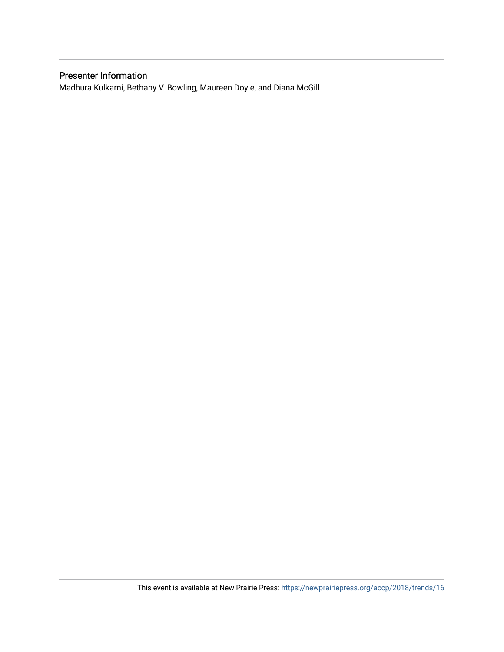#### Presenter Information

Madhura Kulkarni, Bethany V. Bowling, Maureen Doyle, and Diana McGill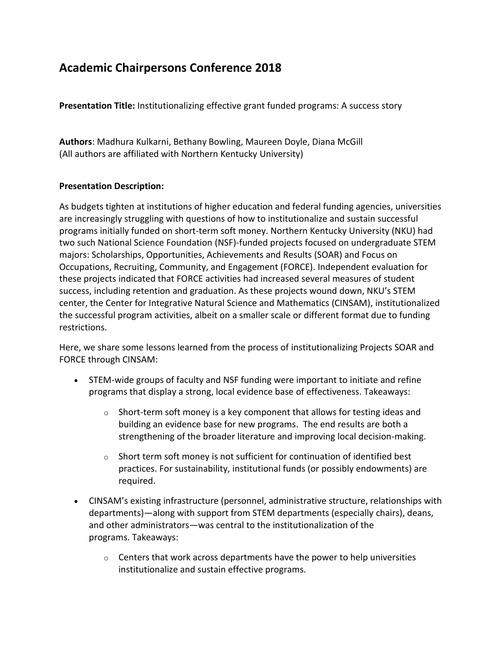## **Academic Chairpersons Conference 2018**

**Presentation Title:** Institutionalizing effective grant funded programs: A success story

**Authors**: Madhura Kulkarni, Bethany Bowling, Maureen Doyle, Diana McGill (All authors are affiliated with Northern Kentucky University)

#### **Presentation Description:**

As budgets tighten at institutions of higher education and federal funding agencies, universities are increasingly struggling with questions of how to institutionalize and sustain successful programs initially funded on short-term soft money. Northern Kentucky University (NKU) had two such National Science Foundation (NSF)-funded projects focused on undergraduate STEM majors: Scholarships, Opportunities, Achievements and Results (SOAR) and Focus on Occupations, Recruiting, Community, and Engagement (FORCE). Independent evaluation for these projects indicated that FORCE activities had increased several measures of student success, including retention and graduation. As these projects wound down, NKU's STEM center, the Center for Integrative Natural Science and Mathematics (CINSAM), institutionalized the successful program activities, albeit on a smaller scale or different format due to funding restrictions.

Here, we share some lessons learned from the process of institutionalizing Projects SOAR and FORCE through CINSAM:

- STEM-wide groups of faculty and NSF funding were important to initiate and refine programs that display a strong, local evidence base of effectiveness. Takeaways:
	- $\circ$  Short-term soft money is a key component that allows for testing ideas and building an evidence base for new programs. The end results are both a strengthening of the broader literature and improving local decision-making.
	- $\circ$  Short term soft money is not sufficient for continuation of identified best practices. For sustainability, institutional funds (or possibly endowments) are required.
- CINSAM's existing infrastructure (personnel, administrative structure, relationships with departments)—along with support from STEM departments (especially chairs), deans, and other administrators—was central to the institutionalization of the programs. Takeaways:
	- $\circ$  Centers that work across departments have the power to help universities institutionalize and sustain effective programs.